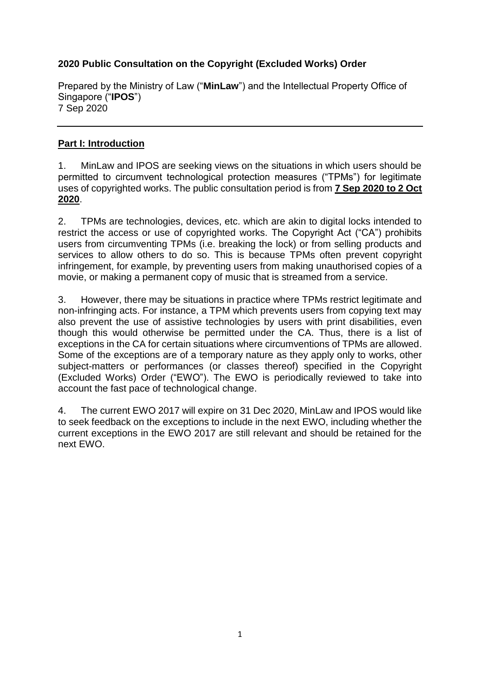## **2020 Public Consultation on the Copyright (Excluded Works) Order**

Prepared by the Ministry of Law ("**MinLaw**") and the Intellectual Property Office of Singapore ("**IPOS**") 7 Sep 2020

## **Part I: Introduction**

1. MinLaw and IPOS are seeking views on the situations in which users should be permitted to circumvent technological protection measures ("TPMs") for legitimate uses of copyrighted works. The public consultation period is from **7 Sep 2020 to 2 Oct 2020**.

2. TPMs are technologies, devices, etc. which are akin to digital locks intended to restrict the access or use of copyrighted works. The Copyright Act ("CA") prohibits users from circumventing TPMs (i.e. breaking the lock) or from selling products and services to allow others to do so. This is because TPMs often prevent copyright infringement, for example, by preventing users from making unauthorised copies of a movie, or making a permanent copy of music that is streamed from a service.

3. However, there may be situations in practice where TPMs restrict legitimate and non-infringing acts. For instance, a TPM which prevents users from copying text may also prevent the use of assistive technologies by users with print disabilities, even though this would otherwise be permitted under the CA. Thus, there is a list of exceptions in the CA for certain situations where circumventions of TPMs are allowed. Some of the exceptions are of a temporary nature as they apply only to works, other subject-matters or performances (or classes thereof) specified in the Copyright (Excluded Works) Order ("EWO"). The EWO is periodically reviewed to take into account the fast pace of technological change.

4. The current EWO 2017 will expire on 31 Dec 2020, MinLaw and IPOS would like to seek feedback on the exceptions to include in the next EWO, including whether the current exceptions in the EWO 2017 are still relevant and should be retained for the next EWO.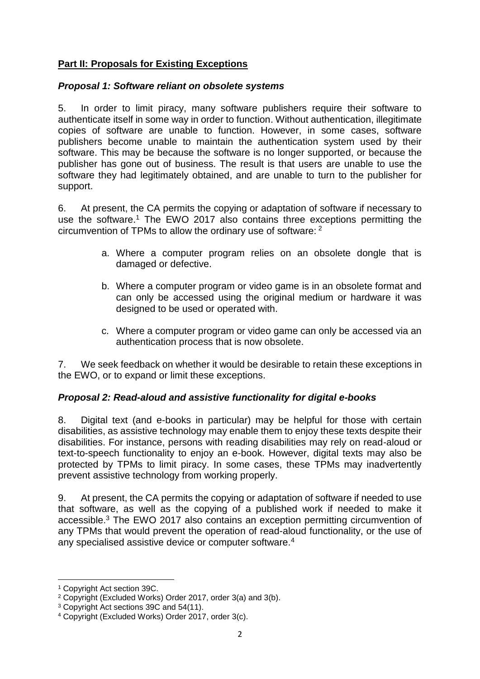## **Part II: Proposals for Existing Exceptions**

### *Proposal 1: Software reliant on obsolete systems*

5. In order to limit piracy, many software publishers require their software to authenticate itself in some way in order to function. Without authentication, illegitimate copies of software are unable to function. However, in some cases, software publishers become unable to maintain the authentication system used by their software. This may be because the software is no longer supported, or because the publisher has gone out of business. The result is that users are unable to use the software they had legitimately obtained, and are unable to turn to the publisher for support.

6. At present, the CA permits the copying or adaptation of software if necessary to use the software.<sup>1</sup> The EWO 2017 also contains three exceptions permitting the circumvention of TPMs to allow the ordinary use of software: <sup>2</sup>

- a. Where a computer program relies on an obsolete dongle that is damaged or defective.
- b. Where a computer program or video game is in an obsolete format and can only be accessed using the original medium or hardware it was designed to be used or operated with.
- c. Where a computer program or video game can only be accessed via an authentication process that is now obsolete.

7. We seek feedback on whether it would be desirable to retain these exceptions in the EWO, or to expand or limit these exceptions.

## *Proposal 2: Read-aloud and assistive functionality for digital e-books*

8. Digital text (and e-books in particular) may be helpful for those with certain disabilities, as assistive technology may enable them to enjoy these texts despite their disabilities. For instance, persons with reading disabilities may rely on read-aloud or text-to-speech functionality to enjoy an e-book. However, digital texts may also be protected by TPMs to limit piracy. In some cases, these TPMs may inadvertently prevent assistive technology from working properly.

9. At present, the CA permits the copying or adaptation of software if needed to use that software, as well as the copying of a published work if needed to make it accessible.<sup>3</sup> The EWO 2017 also contains an exception permitting circumvention of any TPMs that would prevent the operation of read-aloud functionality, or the use of any specialised assistive device or computer software.<sup>4</sup>

**.** 

<sup>1</sup> Copyright Act section 39C.

<sup>2</sup> Copyright (Excluded Works) Order 2017, order 3(a) and 3(b).

<sup>3</sup> Copyright Act sections 39C and 54(11).

<sup>4</sup> Copyright (Excluded Works) Order 2017, order 3(c).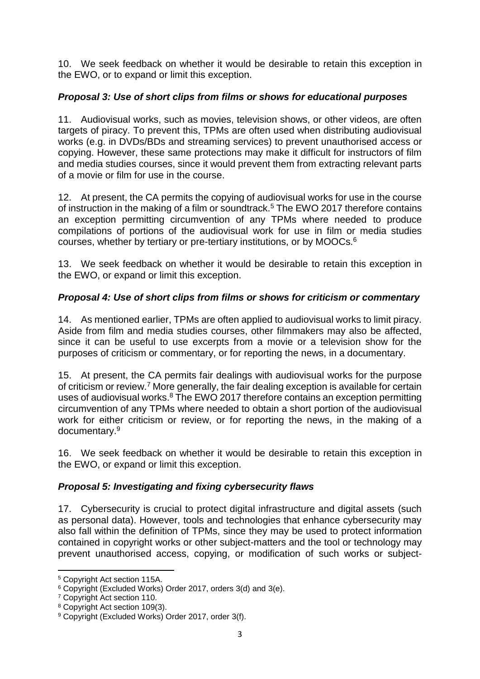10. We seek feedback on whether it would be desirable to retain this exception in the EWO, or to expand or limit this exception.

## *Proposal 3: Use of short clips from films or shows for educational purposes*

11. Audiovisual works, such as movies, television shows, or other videos, are often targets of piracy. To prevent this, TPMs are often used when distributing audiovisual works (e.g. in DVDs/BDs and streaming services) to prevent unauthorised access or copying. However, these same protections may make it difficult for instructors of film and media studies courses, since it would prevent them from extracting relevant parts of a movie or film for use in the course.

12. At present, the CA permits the copying of audiovisual works for use in the course of instruction in the making of a film or soundtrack.<sup>5</sup> The EWO 2017 therefore contains an exception permitting circumvention of any TPMs where needed to produce compilations of portions of the audiovisual work for use in film or media studies courses, whether by tertiary or pre-tertiary institutions, or by MOOCs.<sup>6</sup>

13. We seek feedback on whether it would be desirable to retain this exception in the EWO, or expand or limit this exception.

# *Proposal 4: Use of short clips from films or shows for criticism or commentary*

14. As mentioned earlier, TPMs are often applied to audiovisual works to limit piracy. Aside from film and media studies courses, other filmmakers may also be affected, since it can be useful to use excerpts from a movie or a television show for the purposes of criticism or commentary, or for reporting the news, in a documentary.

15. At present, the CA permits fair dealings with audiovisual works for the purpose of criticism or review.<sup>7</sup> More generally, the fair dealing exception is available for certain uses of audiovisual works. $8$  The EWO 2017 therefore contains an exception permitting circumvention of any TPMs where needed to obtain a short portion of the audiovisual work for either criticism or review, or for reporting the news, in the making of a documentary.<sup>9</sup>

16. We seek feedback on whether it would be desirable to retain this exception in the EWO, or expand or limit this exception.

# *Proposal 5: Investigating and fixing cybersecurity flaws*

17. Cybersecurity is crucial to protect digital infrastructure and digital assets (such as personal data). However, tools and technologies that enhance cybersecurity may also fall within the definition of TPMs, since they may be used to protect information contained in copyright works or other subject-matters and the tool or technology may prevent unauthorised access, copying, or modification of such works or subject-

1

<sup>5</sup> Copyright Act section 115A.

<sup>6</sup> Copyright (Excluded Works) Order 2017, orders 3(d) and 3(e).

<sup>7</sup> Copyright Act section 110.

<sup>8</sup> Copyright Act section 109(3).

<sup>9</sup> Copyright (Excluded Works) Order 2017, order 3(f).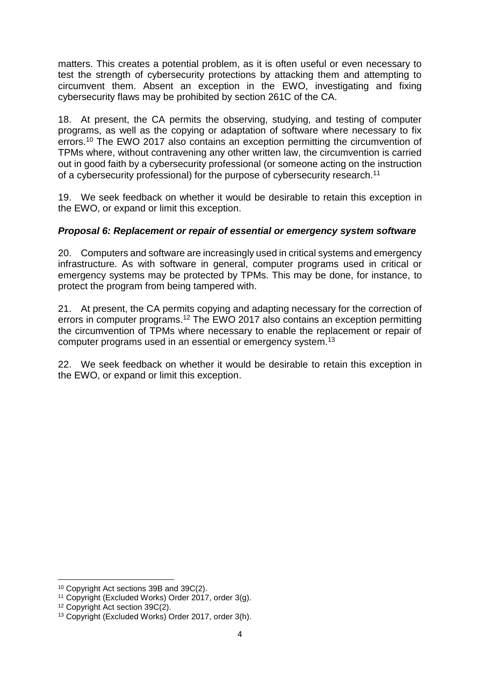matters. This creates a potential problem, as it is often useful or even necessary to test the strength of cybersecurity protections by attacking them and attempting to circumvent them. Absent an exception in the EWO, investigating and fixing cybersecurity flaws may be prohibited by section 261C of the CA.

18. At present, the CA permits the observing, studying, and testing of computer programs, as well as the copying or adaptation of software where necessary to fix errors.<sup>10</sup> The EWO 2017 also contains an exception permitting the circumvention of TPMs where, without contravening any other written law, the circumvention is carried out in good faith by a cybersecurity professional (or someone acting on the instruction of a cybersecurity professional) for the purpose of cybersecurity research.<sup>11</sup>

19. We seek feedback on whether it would be desirable to retain this exception in the EWO, or expand or limit this exception.

## *Proposal 6: Replacement or repair of essential or emergency system software*

20. Computers and software are increasingly used in critical systems and emergency infrastructure. As with software in general, computer programs used in critical or emergency systems may be protected by TPMs. This may be done, for instance, to protect the program from being tampered with.

21. At present, the CA permits copying and adapting necessary for the correction of errors in computer programs.<sup>12</sup> The EWO 2017 also contains an exception permitting the circumvention of TPMs where necessary to enable the replacement or repair of computer programs used in an essential or emergency system.<sup>13</sup>

22. We seek feedback on whether it would be desirable to retain this exception in the EWO, or expand or limit this exception.

**<sup>.</sup>** <sup>10</sup> Copyright Act sections 39B and 39C(2).

<sup>11</sup> Copyright (Excluded Works) Order 2017, order 3(g).

<sup>12</sup> Copyright Act section 39C(2).

<sup>13</sup> Copyright (Excluded Works) Order 2017, order 3(h).